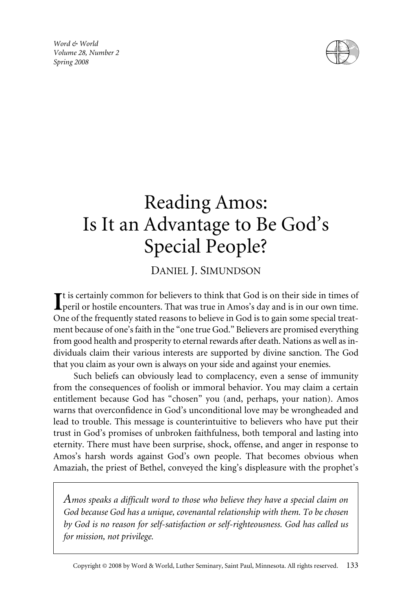*Word & World Volume 28, Number 2 Spring 2008*



# Reading Amos: Is It an Advantage to Be God's Special People?

# DANIEL J. SIMUNDSON

t is certainly common for believers to think that God is on their side in times of peril or hostile encounters. That was true in Amos's day and is in our own time. One of the frequently stated reasons to believe in God is to gain some special treatment because of one's faith in the "one true God." Believers are promised everything from good health and prosperity to eternal rewards after death. Nations as well as individuals claim their various interests are supported by divine sanction. The God that you claim as your own is always on your side and against your enemies.

Such beliefs can obviously lead to complacency, even a sense of immunity from the consequences of foolish or immoral behavior. You may claim a certain entitlement because God has "chosen" you (and, perhaps, your nation). Amos warns that overconfidence in God's unconditional love may be wrongheaded and lead to trouble. This message is counterintuitive to believers who have put their trust in God's promises of unbroken faithfulness, both temporal and lasting into eternity. There must have been surprise, shock, offense, and anger in response to Amos's harsh words against God's own people. That becomes obvious when Amaziah, the priest of Bethel, conveyed the king's displeasure with the prophet's

*Amos speaks a difficult word to those who believe they have a special claim on God because God has a unique, covenantal relationship with them. To be chosen by God is no reason for self-satisfaction or self-righteousness. God has called us for mission, not privilege.*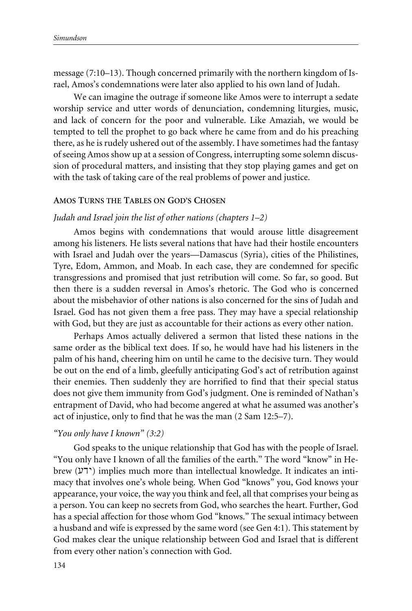message (7:10–13). Though concerned primarily with the northern kingdom of Israel, Amos's condemnations were later also applied to his own land of Judah.

We can imagine the outrage if someone like Amos were to interrupt a sedate worship service and utter words of denunciation, condemning liturgies, music, and lack of concern for the poor and vulnerable. Like Amaziah, we would be tempted to tell the prophet to go back where he came from and do his preaching there, as he is rudely ushered out of the assembly. I have sometimes had the fantasy of seeing Amos show up at a session of Congress, interrupting some solemn discussion of procedural matters, and insisting that they stop playing games and get on with the task of taking care of the real problems of power and justice.

# **AMOS TURNS THE TABLES ON GOD'S CHOSEN**

### *Judah and Israel join the list of other nations (chapters 1–2)*

Amos begins with condemnations that would arouse little disagreement among his listeners. He lists several nations that have had their hostile encounters with Israel and Judah over the years—Damascus (Syria), cities of the Philistines, Tyre, Edom, Ammon, and Moab. In each case, they are condemned for specific transgressions and promised that just retribution will come. So far, so good. But then there is a sudden reversal in Amos's rhetoric. The God who is concerned about the misbehavior of other nations is also concerned for the sins of Judah and Israel. God has not given them a free pass. They may have a special relationship with God, but they are just as accountable for their actions as every other nation.

Perhaps Amos actually delivered a sermon that listed these nations in the same order as the biblical text does. If so, he would have had his listeners in the palm of his hand, cheering him on until he came to the decisive turn. They would be out on the end of a limb, gleefully anticipating God's act of retribution against their enemies. Then suddenly they are horrified to find that their special status does not give them immunity from God's judgment. One is reminded of Nathan's entrapment of David, who had become angered at what he assumed was another's act of injustice, only to find that he was the man (2 Sam 12:5–7).

#### *"You only have I known" (3:2)*

God speaks to the unique relationship that God has with the people of Israel. "You only have I known of all the families of the earth." The word "know" in Hebrew (ידע) implies much more than intellectual knowledge. It indicates an intimacy that involves one's whole being. When God "knows" you, God knows your appearance, your voice, the way you think and feel, all that comprises your being as a person. You can keep no secrets from God, who searches the heart. Further, God has a special affection for those whom God "knows." The sexual intimacy between a husband and wife is expressed by the same word (see Gen 4:1). This statement by God makes clear the unique relationship between God and Israel that is different from every other nation's connection with God.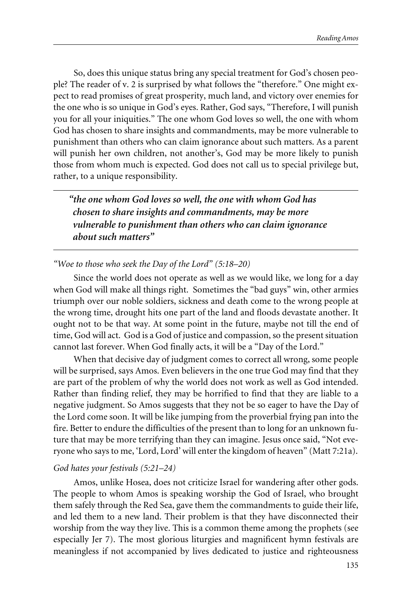So, does this unique status bring any special treatment for God's chosen people? The reader of v. 2 is surprised by what follows the "therefore." One might expect to read promises of great prosperity, much land, and victory over enemies for the one who is so unique in God's eyes. Rather, God says, "Therefore, I will punish you for all your iniquities." The one whom God loves so well, the one with whom God has chosen to share insights and commandments, may be more vulnerable to punishment than others who can claim ignorance about such matters. As a parent will punish her own children, not another's, God may be more likely to punish those from whom much is expected. God does not call us to special privilege but, rather, to a unique responsibility.

*"the one whom God loves so well, the one with whom God has chosen to share insights and commandments, may be more vulnerable to punishment than others who can claim ignorance about such matters"*

*"Woe to those who seek the Day of the Lord" (5:18–20)*

Since the world does not operate as well as we would like, we long for a day when God will make all things right. Sometimes the "bad guys" win, other armies triumph over our noble soldiers, sickness and death come to the wrong people at the wrong time, drought hits one part of the land and floods devastate another. It ought not to be that way. At some point in the future, maybe not till the end of time, God will act. God is a God of justice and compassion, so the present situation cannot last forever. When God finally acts, it will be a "Day of the Lord."

When that decisive day of judgment comes to correct all wrong, some people will be surprised, says Amos. Even believers in the one true God may find that they are part of the problem of why the world does not work as well as God intended. Rather than finding relief, they may be horrified to find that they are liable to a negative judgment. So Amos suggests that they not be so eager to have the Day of the Lord come soon. It will be like jumping from the proverbial frying pan into the fire. Better to endure the difficulties of the present than to long for an unknown future that may be more terrifying than they can imagine. Jesus once said, "Not everyone who says to me, 'Lord, Lord' will enter the kingdom of heaven" (Matt 7:21a).

#### *God hates your festivals (5:21–24)*

Amos, unlike Hosea, does not criticize Israel for wandering after other gods. The people to whom Amos is speaking worship the God of Israel, who brought them safely through the Red Sea, gave them the commandments to guide their life, and led them to a new land. Their problem is that they have disconnected their worship from the way they live. This is a common theme among the prophets (see especially Jer 7). The most glorious liturgies and magnificent hymn festivals are meaningless if not accompanied by lives dedicated to justice and righteousness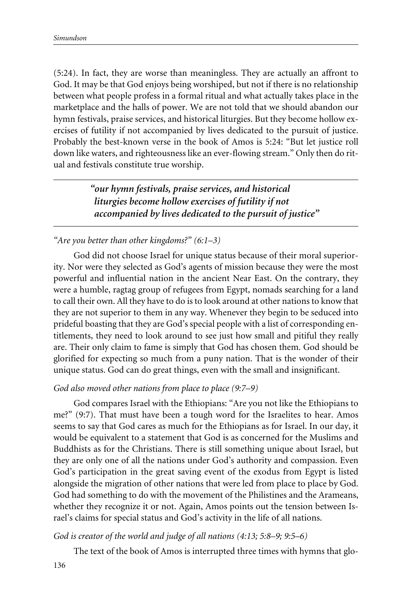(5:24). In fact, they are worse than meaningless. They are actually an affront to God. It may be that God enjoys being worshiped, but not if there is no relationship between what people profess in a formal ritual and what actually takes place in the marketplace and the halls of power. We are not told that we should abandon our hymn festivals, praise services, and historical liturgies. But they become hollow exercises of futility if not accompanied by lives dedicated to the pursuit of justice. Probably the best-known verse in the book of Amos is 5:24: "But let justice roll down like waters, and righteousness like an ever-flowing stream." Only then do ritual and festivals constitute true worship.

> *"our hymn festivals, praise services, and historical liturgies become hollow exercises of futility if not accompanied by lives dedicated to the pursuit of justice"*

# *"Are you better than other kingdoms?" (6:1–3)*

God did not choose Israel for unique status because of their moral superiority. Nor were they selected as God's agents of mission because they were the most powerful and influential nation in the ancient Near East. On the contrary, they were a humble, ragtag group of refugees from Egypt, nomads searching for a land to call their own. All they have to do is to look around at other nations to know that they are not superior to them in any way. Whenever they begin to be seduced into prideful boasting that they are God's special people with a list of corresponding entitlements, they need to look around to see just how small and pitiful they really are. Their only claim to fame is simply that God has chosen them. God should be glorified for expecting so much from a puny nation. That is the wonder of their unique status. God can do great things, even with the small and insignificant.

# *God also moved other nations from place to place (9:7–9)*

God compares Israel with the Ethiopians: "Are you not like the Ethiopians to me?" (9:7). That must have been a tough word for the Israelites to hear. Amos seems to say that God cares as much for the Ethiopians as for Israel. In our day, it would be equivalent to a statement that God is as concerned for the Muslims and Buddhists as for the Christians. There is still something unique about Israel, but they are only one of all the nations under God's authority and compassion. Even God's participation in the great saving event of the exodus from Egypt is listed alongside the migration of other nations that were led from place to place by God. God had something to do with the movement of the Philistines and the Arameans, whether they recognize it or not. Again, Amos points out the tension between Israel's claims for special status and God's activity in the life of all nations.

# *God is creator of the world and judge of all nations (4:13; 5:8–9; 9:5–6)*

The text of the book of Amos is interrupted three times with hymns that glo-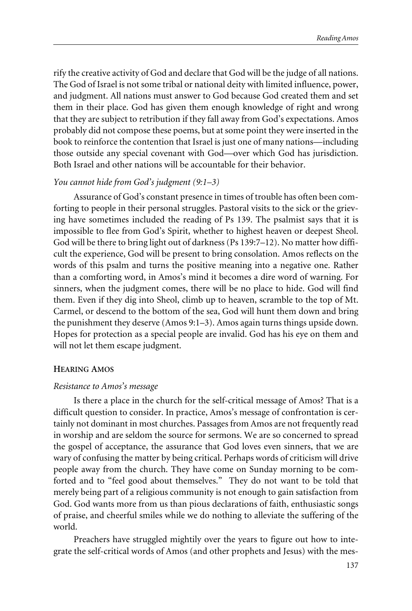rify the creative activity of God and declare that God will be the judge of all nations. The God of Israel is not some tribal or national deity with limited influence, power, and judgment. All nations must answer to God because God created them and set them in their place. God has given them enough knowledge of right and wrong that they are subject to retribution if they fall away from God's expectations. Amos probably did not compose these poems, but at some point they were inserted in the book to reinforce the contention that Israel is just one of many nations—including those outside any special covenant with God—over which God has jurisdiction. Both Israel and other nations will be accountable for their behavior.

# *You cannot hide from God's judgment (9:1–3)*

Assurance of God's constant presence in times of trouble has often been comforting to people in their personal struggles. Pastoral visits to the sick or the grieving have sometimes included the reading of Ps 139. The psalmist says that it is impossible to flee from God's Spirit, whether to highest heaven or deepest Sheol. God will be there to bring light out of darkness (Ps 139:7–12). No matter how difficult the experience, God will be present to bring consolation. Amos reflects on the words of this psalm and turns the positive meaning into a negative one. Rather than a comforting word, in Amos's mind it becomes a dire word of warning. For sinners, when the judgment comes, there will be no place to hide. God will find them. Even if they dig into Sheol, climb up to heaven, scramble to the top of Mt. Carmel, or descend to the bottom of the sea, God will hunt them down and bring the punishment they deserve (Amos 9:1–3). Amos again turns things upside down. Hopes for protection as a special people are invalid. God has his eye on them and will not let them escape judgment.

#### **HEARING AMOS**

#### *Resistance to Amos's message*

Is there a place in the church for the self-critical message of Amos? That is a difficult question to consider. In practice, Amos's message of confrontation is certainly not dominant in most churches. Passages from Amos are not frequently read in worship and are seldom the source for sermons. We are so concerned to spread the gospel of acceptance, the assurance that God loves even sinners, that we are wary of confusing the matter by being critical. Perhaps words of criticism will drive people away from the church. They have come on Sunday morning to be comforted and to "feel good about themselves." They do not want to be told that merely being part of a religious community is not enough to gain satisfaction from God. God wants more from us than pious declarations of faith, enthusiastic songs of praise, and cheerful smiles while we do nothing to alleviate the suffering of the world.

Preachers have struggled mightily over the years to figure out how to integrate the self-critical words of Amos (and other prophets and Jesus) with the mes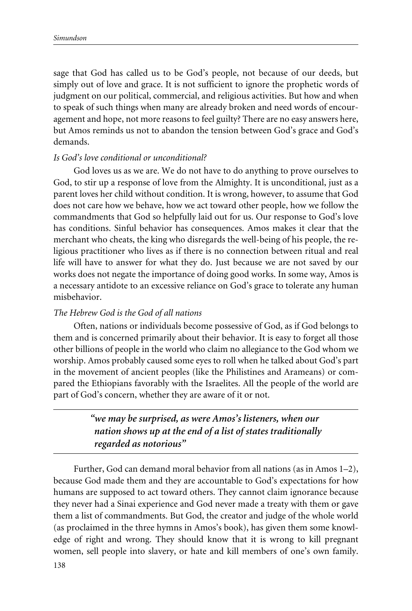sage that God has called us to be God's people, not because of our deeds, but simply out of love and grace. It is not sufficient to ignore the prophetic words of judgment on our political, commercial, and religious activities. But how and when to speak of such things when many are already broken and need words of encouragement and hope, not more reasons to feel guilty? There are no easy answers here, but Amos reminds us not to abandon the tension between God's grace and God's demands.

# *Is God's love conditional or unconditional?*

God loves us as we are. We do not have to do anything to prove ourselves to God, to stir up a response of love from the Almighty. It is unconditional, just as a parent loves her child without condition. It is wrong, however, to assume that God does not care how we behave, how we act toward other people, how we follow the commandments that God so helpfully laid out for us. Our response to God's love has conditions. Sinful behavior has consequences. Amos makes it clear that the merchant who cheats, the king who disregards the well-being of his people, the religious practitioner who lives as if there is no connection between ritual and real life will have to answer for what they do. Just because we are not saved by our works does not negate the importance of doing good works. In some way, Amos is a necessary antidote to an excessive reliance on God's grace to tolerate any human misbehavior.

# *The Hebrew God is the God of all nations*

Often, nations or individuals become possessive of God, as if God belongs to them and is concerned primarily about their behavior. It is easy to forget all those other billions of people in the world who claim no allegiance to the God whom we worship. Amos probably caused some eyes to roll when he talked about God's part in the movement of ancient peoples (like the Philistines and Arameans) or compared the Ethiopians favorably with the Israelites. All the people of the world are part of God's concern, whether they are aware of it or not.

> *"we may be surprised, as were Amos's listeners, when our nation shows up at the end of a list of states traditionally regarded as notorious"*

Further, God can demand moral behavior from all nations (as in Amos 1–2), because God made them and they are accountable to God's expectations for how humans are supposed to act toward others. They cannot claim ignorance because they never had a Sinai experience and God never made a treaty with them or gave them a list of commandments. But God, the creator and judge of the whole world (as proclaimed in the three hymns in Amos's book), has given them some knowledge of right and wrong. They should know that it is wrong to kill pregnant women, sell people into slavery, or hate and kill members of one's own family.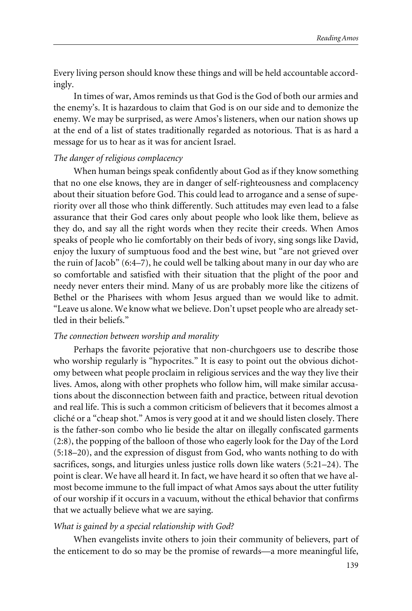Every living person should know these things and will be held accountable accordingly.

In times of war, Amos reminds us that God is the God of both our armies and the enemy's. It is hazardous to claim that God is on our side and to demonize the enemy. We may be surprised, as were Amos's listeners, when our nation shows up at the end of a list of states traditionally regarded as notorious. That is as hard a message for us to hear as it was for ancient Israel.

### *The danger of religious complacency*

When human beings speak confidently about God as if they know something that no one else knows, they are in danger of self-righteousness and complacency about their situation before God. This could lead to arrogance and a sense of superiority over all those who think differently. Such attitudes may even lead to a false assurance that their God cares only about people who look like them, believe as they do, and say all the right words when they recite their creeds. When Amos speaks of people who lie comfortably on their beds of ivory, sing songs like David, enjoy the luxury of sumptuous food and the best wine, but "are not grieved over the ruin of Jacob" (6:4–7), he could well be talking about many in our day who are so comfortable and satisfied with their situation that the plight of the poor and needy never enters their mind. Many of us are probably more like the citizens of Bethel or the Pharisees with whom Jesus argued than we would like to admit. "Leave us alone. We know what we believe. Don't upset people who are already settled in their beliefs."

#### *The connection between worship and morality*

Perhaps the favorite pejorative that non-churchgoers use to describe those who worship regularly is "hypocrites." It is easy to point out the obvious dichotomy between what people proclaim in religious services and the way they live their lives. Amos, along with other prophets who follow him, will make similar accusations about the disconnection between faith and practice, between ritual devotion and real life. This is such a common criticism of believers that it becomes almost a cliché or a "cheap shot." Amos is very good at it and we should listen closely. There is the father-son combo who lie beside the altar on illegally confiscated garments (2:8), the popping of the balloon of those who eagerly look for the Day of the Lord (5:18–20), and the expression of disgust from God, who wants nothing to do with sacrifices, songs, and liturgies unless justice rolls down like waters (5:21–24). The point is clear. We have all heard it. In fact, we have heard it so often that we have almost become immune to the full impact of what Amos says about the utter futility of our worship if it occurs in a vacuum, without the ethical behavior that confirms that we actually believe what we are saying.

#### *What is gained by a special relationship with God?*

When evangelists invite others to join their community of believers, part of the enticement to do so may be the promise of rewards—a more meaningful life,